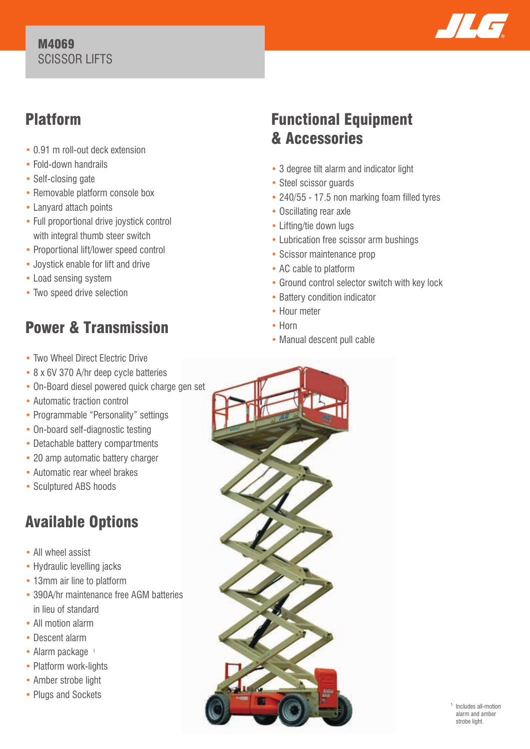#### M4069 SCISSOR LIFTS



### Platform

- 0.91 m roll-out deck extension
- Fold-down handrails
- Self-closing gate
- Removable platform console box
- Lanyard attach points
- Full proportional drive joystick control with integral thumb steer switch
- Proportional lift/lower speed control
- Joystick enable for lift and drive
- Load sensing system
- Two speed drive selection

# Power & Transmission

- Two Wheel Direct Electric Drive
- 8 x 6V 370 A/hr deep cycle batteries
- On-Board diesel powered quick charge gen set
- Automatic traction control
- Programmable "Personality" settings
- On-board self-diagnostic testing
- Detachable battery compartments
- 20 amp automatic battery charger
- Automatic rear wheel brakes
- Sculptured ABS hoods

## Available Options

- All wheel assist
- Hydraulic levelling jacks
- 13mm air line to platform
- 390A/hr maintenance free AGM batteries in lieu of standard
- All motion alarm
- Descent alarm
- Alarm package 1
- Platform work-lights
- Amber strobe light
- Plugs and Sockets

### Functional Equipment & Accessories

- 3 degree tilt alarm and indicator light
- Steel scissor guards
- 240/55 17.5 non marking foam filled tyres
- Oscillating rear axle
- Lifting/tie down lugs
- Lubrication free scissor arm bushings
- Scissor maintenance prop
- AC cable to platform
- Ground control selector switch with key lock
- Battery condition indicator
- Hour meter
- Horn
- Manual descent pull cable